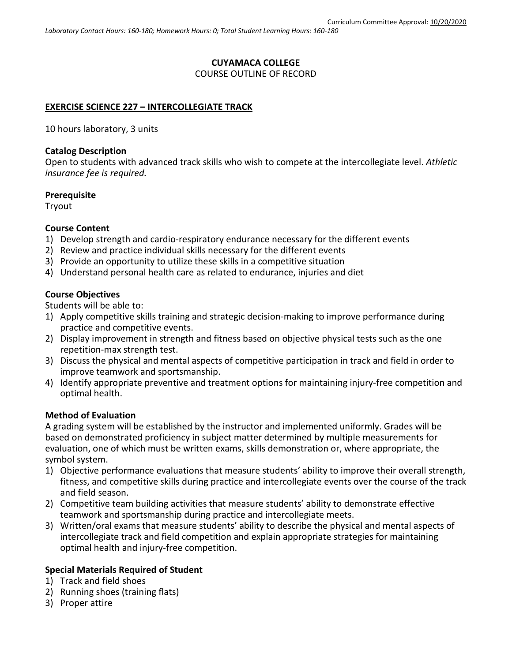# **CUYAMACA COLLEGE** COURSE OUTLINE OF RECORD

# **EXERCISE SCIENCE 227 – INTERCOLLEGIATE TRACK**

10 hours laboratory, 3 units

## **Catalog Description**

Open to students with advanced track skills who wish to compete at the intercollegiate level. *Athletic insurance fee is required.*

### **Prerequisite**

Tryout

### **Course Content**

- 1) Develop strength and cardio-respiratory endurance necessary for the different events
- 2) Review and practice individual skills necessary for the different events
- 3) Provide an opportunity to utilize these skills in a competitive situation
- 4) Understand personal health care as related to endurance, injuries and diet

### **Course Objectives**

Students will be able to:

- 1) Apply competitive skills training and strategic decision-making to improve performance during practice and competitive events.
- 2) Display improvement in strength and fitness based on objective physical tests such as the one repetition-max strength test.
- 3) Discuss the physical and mental aspects of competitive participation in track and field in order to improve teamwork and sportsmanship.
- 4) Identify appropriate preventive and treatment options for maintaining injury-free competition and optimal health.

## **Method of Evaluation**

A grading system will be established by the instructor and implemented uniformly. Grades will be based on demonstrated proficiency in subject matter determined by multiple measurements for evaluation, one of which must be written exams, skills demonstration or, where appropriate, the symbol system.

- 1) Objective performance evaluations that measure students' ability to improve their overall strength, fitness, and competitive skills during practice and intercollegiate events over the course of the track and field season.
- 2) Competitive team building activities that measure students' ability to demonstrate effective teamwork and sportsmanship during practice and intercollegiate meets.
- 3) Written/oral exams that measure students' ability to describe the physical and mental aspects of intercollegiate track and field competition and explain appropriate strategies for maintaining optimal health and injury-free competition.

## **Special Materials Required of Student**

- 1) Track and field shoes
- 2) Running shoes (training flats)
- 3) Proper attire